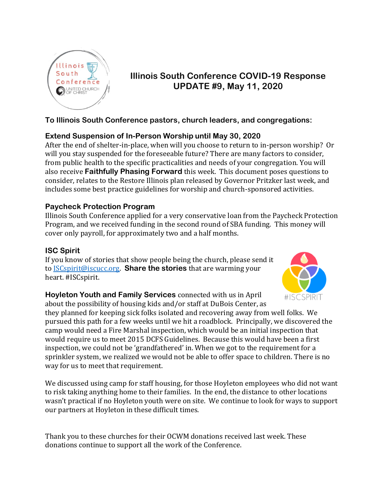

# **Illinois South Conference COVID-19 Response UPDATE #9, May 11, 2020**

## **To Illinois South Conference pastors, church leaders, and congregations:**

## **Extend Suspension of In-Person Worship until May 30, 2020**

After the end of shelter-in-place, when will you choose to return to in-person worship? Or will you stay suspended for the foreseeable future? There are many factors to consider, from public health to the specific practicalities and needs of your congregation. You will also receive **Faithfully Phasing Forward** this week. This document poses questions to consider, relates to the Restore Illinois plan released by Governor Pritzker last week, and includes some best practice guidelines for worship and church-sponsored activities.

## **Paycheck Protection Program**

Illinois South Conference applied for a very conservative loan from the Paycheck Protection Program, and we received funding in the second round of SBA funding. This money will cover only payroll, for approximately two and a half months.

## **ISC Spirit**

If you know of stories that show people being the church, please send it to [ISCspirit@iscucc.org.](mailto:ISCspirit@iscucc.org) **Share the stories** that are warming your heart. #ISCspirit.



**Hoyleton Youth and Family Services** connected with us in April about the possibility of housing kids and/or staff at DuBois Center, as

they planned for keeping sick folks isolated and recovering away from well folks. We pursued this path for a few weeks until we hit a roadblock. Principally, we discovered the camp would need a Fire Marshal inspection, which would be an initial inspection that would require us to meet 2015 DCFS Guidelines. Because this would have been a first inspection, we could not be 'grandfathered' in. When we got to the requirement for a sprinkler system, we realized we would not be able to offer space to children. There is no way for us to meet that requirement.

We discussed using camp for staff housing, for those Hoyleton employees who did not want to risk taking anything home to their families. In the end, the distance to other locations wasn't practical if no Hoyleton youth were on site. We continue to look for ways to support our partners at Hoyleton in these difficult times.

Thank you to these churches for their OCWM donations received last week. These donations continue to support all the work of the Conference.